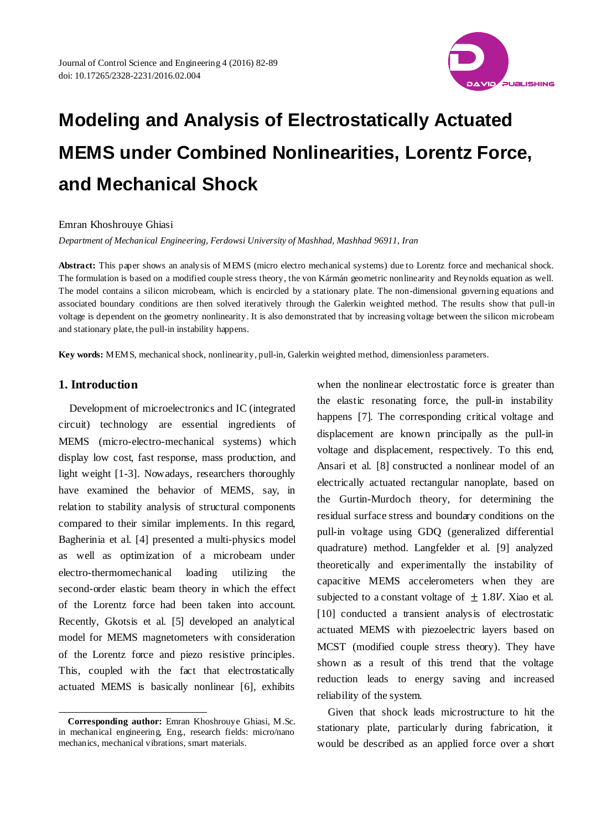

### Emran Khoshrouye Ghiasi

*Department of Mechanical Engineering, Ferdowsi University of Mashhad, Mashhad 96911, Iran*

**Abstract:** This paper shows an analysis of MEMS (micro electro mechanical systems) due to Lorentz force and mechanical shock. The formulation is based on a modified couple stress theory, the von Kármán geometric nonlinearity and Reynolds equation as well. The model contains a silicon microbeam, which is encircled by a stationary plate. The non-dimensional governing equations and associated boundary conditions are then solved iteratively through the Galerkin weighted method. The results show that pull-in voltage is dependent on the geometry nonlinearity. It is also demonstrated that by increasing voltage between the silicon microbeam and stationary plate, the pull-in instability happens.

**Key words:** MEMS, mechanical shock, nonlinearity, pull-in, Galerkin weighted method, dimensionless parameters.

# **1. Introduction**

l

Development of microelectronics and IC (integrated circuit) technology are essential ingredients of MEMS (micro-electro-mechanical systems) which display low cost, fast response, mass production, and light weight [1-3]. Nowadays, researchers thoroughly have examined the behavior of MEMS, say, in relation to stability analysis of structural components compared to their similar implements. In this regard, Bagherinia et al. [4] presented a multi-physics model as well as optimization of a microbeam under electro-thermomechanical loading utilizing the second-order elastic beam theory in which the effect of the Lorentz force had been taken into account. Recently, Gkotsis et al. [5] developed an analytical model for MEMS magnetometers with consideration of the Lorentz force and piezo resistive principles. This, coupled with the fact that electrostatically actuated MEMS is basically nonlinear [6], exhibits

when the nonlinear electrostatic force is greater than the elastic resonating force, the pull-in instability happens [7]. The corresponding critical voltage and displacement are known principally as the pull-in voltage and displacement, respectively. To this end, Ansari et al. [8] constructed a nonlinear model of an electrically actuated rectangular nanoplate, based on the Gurtin-Murdoch theory, for determining the residual surface stress and boundary conditions on the pull-in voltage using GDQ (generalized differential quadrature) method. Langfelder et al. [9] analyzed theoretically and experimentally the instability of capacitive MEMS accelerometers when they are subjected to a constant voltage of  $\pm$  1.8V. Xiao et al. [10] conducted a transient analysis of electrostatic actuated MEMS with piezoelectric layers based on MCST (modified couple stress theory). They have shown as a result of this trend that the voltage reduction leads to energy saving and increased reliability of the system.

Given that shock leads microstructure to hit the stationary plate, particularly during fabrication, it would be described as an applied force over a short

**Corresponding author:** Emran Khoshrouye Ghiasi, M.Sc. in mechanical engineering, Eng., research fields: micro/nano mechanics, mechanical vibrations, smart materials.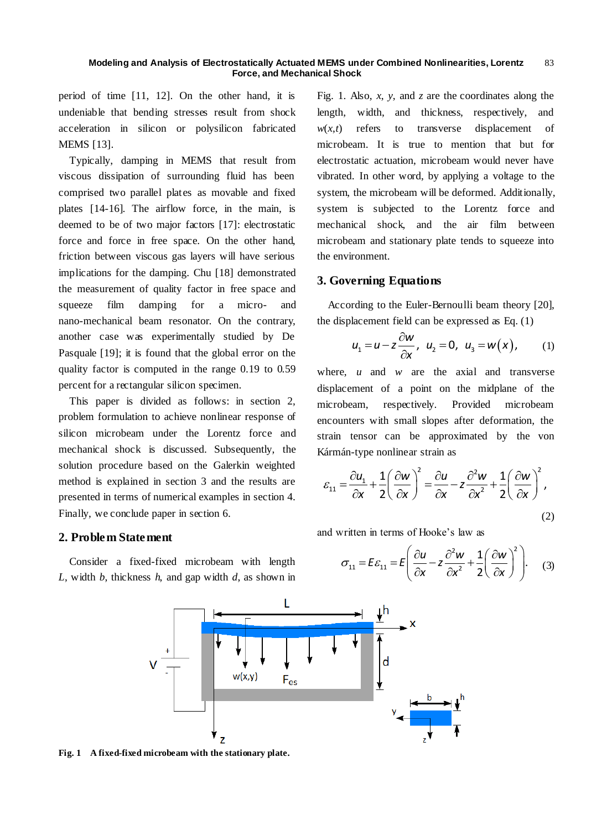period of time [11, 12]. On the other hand, it is undeniable that bending stresses result from shock acceleration in silicon or polysilicon fabricated **MEMS** [13].

Typically, damping in MEMS that result from viscous dissipation of surrounding fluid has been comprised two parallel plates as movable and fixed plates [14-16]. The airflow force, in the main, is deemed to be of two major factors [17]: electrostatic force and force in free space. On the other hand, friction between viscous gas layers will have serious implications for the damping. Chu [18] demonstrated the measurement of quality factor in free space and squeeze film damping for a micro- and nano-mechanical beam resonator. On the contrary, another case was experimentally studied by De Pasquale [19]; it is found that the global error on the quality factor is computed in the range 0.19 to 0.59 percent for a rectangular silicon specimen.

This paper is divided as follows: in section 2, problem formulation to achieve nonlinear response of silicon microbeam under the Lorentz force and mechanical shock is discussed. Subsequently, the solution procedure based on the Galerkin weighted method is explained in section 3 and the results are presented in terms of numerical examples in section 4. Finally, we conclude paper in section 6.

# **2. Problem Statement**

Consider a fixed-fixed microbeam with length *L*, width *b*, thickness *h*, and gap width *d*, as shown in Fig. 1. Also, *x*, *y*, and *z* are the coordinates along the length, width, and thickness, respectively, and  $w(x,t)$  refers to transverse displacement of microbeam. It is true to mention that but for electrostatic actuation, microbeam would never have vibrated. In other word, by applying a voltage to the system, the microbeam will be deformed. Additionally, system is subjected to the Lorentz force and mechanical shock, and the air film between microbeam and stationary plate tends to squeeze into the environment.

# **3. Governing Equations**

According to the Euler-Bernoulli beam theory [20], the displacement field can be expressed as Eq. (1)

$$
u_1 = u - z \frac{\partial w}{\partial x}, \quad u_2 = 0, \quad u_3 = w(x), \quad (1)
$$

where, *u* and *w* are the axial and transverse displacement of a point on the midplane of the microbeam, respectively. Provided microbeam encounters with small slopes after deformation, the strain tensor can be approximated by the von

Kármán-type nonlinear strain as  
\n
$$
\mathcal{E}_{11} = \frac{\partial u_1}{\partial x} + \frac{1}{2} \left( \frac{\partial w}{\partial x} \right)^2 = \frac{\partial u}{\partial x} - z \frac{\partial^2 w}{\partial x^2} + \frac{1}{2} \left( \frac{\partial w}{\partial x} \right)^2,
$$
\n(2)

and written in terms of Hooke's law as  
\n
$$
\sigma_{11} = E \varepsilon_{11} = E \left( \frac{\partial u}{\partial x} - z \frac{\partial^2 w}{\partial x^2} + \frac{1}{2} \left( \frac{\partial w}{\partial x} \right)^2 \right).
$$
\n(3)



**Fig. 1 A fixed-fixed microbeam with the stationary plate.**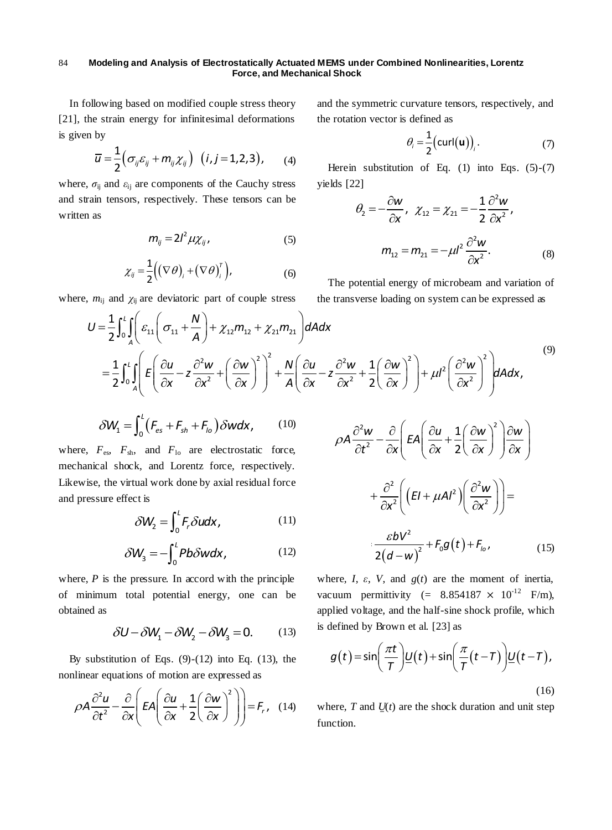In following based on modified couple stress theory [21], the strain energy for infinitesimal deformations is given by

$$
\overline{u} = \frac{1}{2} \Big( \sigma_{ij} \varepsilon_{ij} + m_{ij} \chi_{ij} \Big) \quad (i, j = 1, 2, 3), \qquad (4)
$$

where,  $\sigma_{ij}$  and  $\varepsilon_{ij}$  are components of the Cauchy stress and strain tensors, respectively. These tensors can be written as

$$
m_{ij} = 2l^2 \mu \chi_{ij}, \qquad (5)
$$

$$
\chi_{ij} = \frac{1}{2} \Big( (\nabla \theta)_{i} + (\nabla \theta)_{i}^{\top} \Big), \tag{6}
$$

where,  $m_{ij}$  and  $\chi_{ij}$  are deviatoric part of couple stress

and the symmetric curvature tensors, respectively, and the rotation vector is defined as

$$
\theta_i = \frac{1}{2} \big( \text{curl}(\mathbf{u}) \big)_i. \tag{7}
$$

Herein substitution of Eq.  $(1)$  into Eqs.  $(5)-(7)$ yields [22]

the Cauchy stress yields [22]  
\n
$$
\mathcal{B}_2 = -\frac{\partial w}{\partial x}, \quad \chi_{12} = \chi_{21} = -\frac{1}{2} \frac{\partial^2 w}{\partial x^2},
$$
\n(5)  
\n
$$
m_{12} = m_{21} = -\mu l^2 \frac{\partial^2 w}{\partial x^2}.
$$
\n(8)

The potential energy of microbeam and variation of the transverse loading on system can be expressed as

$$
m_{12} = m_{21} = -\mu l^2 \frac{\partial W}{\partial x^2}.
$$
\n
$$
x_{ij} = \frac{1}{2} \left( (\nabla \theta)_i + (\nabla \theta)_i^T \right),
$$
\n(6)

\nThe potential energy of microbeam and variation of the transverse loading on system can be expressed as

\n
$$
U = \frac{1}{2} \int_0^L \int_A \left( \varepsilon_{11} \left( \sigma_{11} + \frac{N}{A} \right) + \chi_{12} m_{12} + \chi_{21} m_{21} \right) dA dx
$$
\n
$$
= \frac{1}{2} \int_0^L \int_A \left( \varepsilon \left( \frac{\partial u}{\partial x} - z \frac{\partial^2 w}{\partial x^2} + \left( \frac{\partial w}{\partial x} \right)^2 \right)^2 + \frac{N}{A} \left( \frac{\partial u}{\partial x} - z \frac{\partial^2 w}{\partial x^2} + \frac{1}{2} \left( \frac{\partial w}{\partial x} \right)^2 \right) + \mu l^2 \left( \frac{\partial^2 w}{\partial x^2} \right)^2 \right) dA dx,
$$
\n(9)

$$
\delta W_1 = \int_0^L \left( F_{es} + F_{sh} + F_{lo} \right) \delta w dx, \qquad (10)
$$

where,  $F_{\text{es}}$ ,  $F_{\text{sh}}$ , and  $F_{\text{lo}}$  are electrostatic force, mechanical shock, and Lorentz force, respectively. Likewise, the virtual work done by axial residual force  $+\frac{\partial^2}{\partial x^2}$ and pressure effect is

$$
\delta W_2 = \int_0^L F_r \delta u dx, \qquad (11)
$$

$$
\delta W_3 = -\int_0^L Pb \delta w dx, \qquad (12)
$$

where, *P* is the pressure. In accord with the principle of minimum total potential energy, one can be obtained as

$$
\delta U - \delta W_1 - \delta W_2 - \delta W_3 = 0. \tag{13}
$$

By substitution of Eqs.  $(9)-(12)$  into Eq.  $(13)$ , the

nonlinear equations of motion are expressed as  
\n
$$
\rho A \frac{\partial^2 u}{\partial t^2} - \frac{\partial}{\partial x} \left( EA \left( \frac{\partial u}{\partial x} + \frac{1}{2} \left( \frac{\partial w}{\partial x} \right)^2 \right) \right) = F_r, \quad (14)
$$

 (15) 2 2 2 2 2 2 2 2 <sup>2</sup> <sup>0</sup> 1 2 , 2 *w u w w A EA t x x x x w bV EI Al F g t F x x d w* 2 2 2 2 2 2 2 2 <sup>2</sup> <sup>0</sup> 1 , *w u w w A EA t x x x x w bV EI Al F g t F x x d w* 2 2 2 2 2 <sup>2</sup> <sup>0</sup> , 2 *lo t x x x x w bV EI Al F g t F x x d w*

where,  $I$ ,  $\varepsilon$ ,  $V$ , and  $g(t)$  are the moment of inertia, vacuum permittivity (=  $8.854187 \times 10^{-12}$  F/m), applied voltage, and the half-sine shock profile, which

is defined by Brown et al. [23] as  
\n
$$
g(t) = \sin\left(\frac{\pi t}{T}\right) \underline{U}(t) + \sin\left(\frac{\pi}{T}(t - T)\right) \underline{U}(t - T),
$$
\n(16)

where,  $T$  and  $U(t)$  are the shock duration and unit step function.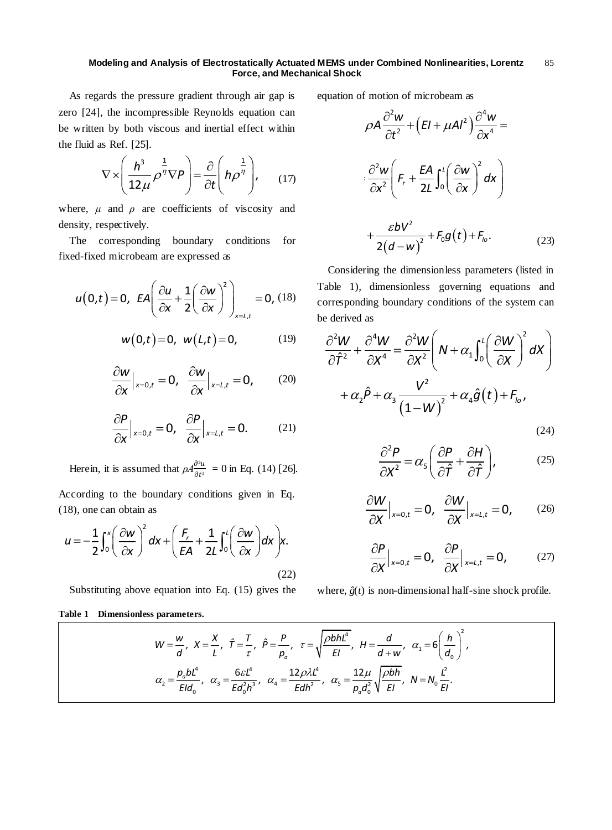As regards the pressure gradient through air gap is zero [24], the incompressible Reynolds equation can be written by both viscous and inertial effect within the fluid as Ref. [25].

$$
\nabla \times \left(\frac{h^3}{12\mu} \rho^{\frac{1}{\eta}} \nabla \rho\right) = \frac{\partial}{\partial t} \left(h \rho^{\frac{1}{\eta}}\right), \quad (17)
$$

where,  $\mu$  and  $\rho$  are coefficients of viscosity and density, respectively. density, respectively. mother the expectively.<br>
The corresponding boundary conditions for

fixed-fixed microbeam are expressed as

$$
u(0,t) = 0, \ \ \mathit{EA}\left(\frac{\partial u}{\partial x} + \frac{1}{2}\left(\frac{\partial w}{\partial x}\right)^2\right)_{x=t,t} = 0, \ (18)
$$

$$
w(0,t) = 0, \ w(L,t) = 0,
$$
 (19)

$$
\frac{\partial w}{\partial x}\Big|_{x=0,t}=0, \quad \frac{\partial w}{\partial x}\Big|_{x=L,t}=0, \quad (20)
$$

$$
\frac{\partial P}{\partial x}\Big|_{x=0,t}=0, \quad \frac{\partial P}{\partial x}\Big|_{x=L,t}=0. \quad (21)
$$

Herein, it is assumed that  $\rho A \frac{\partial^2 u}{\partial t^2} = 0$  in Eq. (14) [26].

According to the boundary conditions given in Eq. (18), one can obtain as

18), one can obtain as  
\n
$$
u = -\frac{1}{2} \int_0^x \left( \frac{\partial w}{\partial x} \right)^2 dx + \left( \frac{F_r}{EA} + \frac{1}{2L} \int_0^L \left( \frac{\partial w}{\partial x} \right) dx \right) x.
$$
\n(22)

Substituting above equation into Eq. (15) gives the

## **Table 1 Dimensionless parameters.**

equation of motion of microbeam as

$$
\frac{1}{1} \text{ effect within} \qquad \rho A \frac{\partial^2 w}{\partial t^2} + (EI + \mu A l^2) \frac{\partial^4 w}{\partial x^4} =
$$
\n
$$
\frac{1}{\rho^{\eta}} \bigg|_{y} \qquad (17) \qquad \frac{\partial^2 w}{\partial x^2} \bigg( F_r + \frac{EA}{2L} \int_0^l \bigg( \frac{\partial w}{\partial x} \bigg)^2 dx \bigg)
$$
\nviscosity and  
\nonditions for 
$$
+ \frac{\varepsilon b V^2}{2(d - w)^2} + F_0 g(t) + F_0.
$$
\n(23)

Considering the dimensionless parameters (listed in Table 1), dimensionless governing equations and corresponding boundary conditions of the system can be derived as

e derived as  
\n
$$
\frac{\partial^2 W}{\partial \hat{T}^2} + \frac{\partial^4 W}{\partial x^4} = \frac{\partial^2 W}{\partial x^2} \left( N + \alpha_1 \int_0^l \left( \frac{\partial W}{\partial x} \right)^2 dX \right)
$$
\n
$$
+ \alpha_2 \hat{P} + \alpha_3 \frac{V^2}{(1 - W)^2} + \alpha_4 \hat{g}(t) + F_{lo},
$$

(24)

$$
\frac{\partial^2 P}{\partial X^2} = \alpha_5 \left( \frac{\partial P}{\partial \hat{T}} + \frac{\partial H}{\partial \hat{T}} \right),\tag{25}
$$

$$
\frac{\partial W}{\partial X}\Big|_{x=0,t}=0, \quad \frac{\partial W}{\partial X}\Big|_{x=L,t}=0, \quad (26)
$$

$$
\frac{\partial P}{\partial X}\Big|_{x=0,t}=0, \quad \frac{\partial P}{\partial X}\Big|_{x=L,t}=0, \quad (27)
$$

where,  $\hat{g}(t)$  is non-dimensional half-sine shock profile.

sionless parameters.  
\n
$$
W = \frac{w}{d}, \ X = \frac{X}{L}, \ \hat{T} = \frac{T}{\tau}, \ \hat{P} = \frac{P}{p_o}, \ \tau = \sqrt{\frac{\rho b h l^4}{EI}}, \ H = \frac{d}{d + w}, \ \alpha_1 = 6 \left(\frac{h}{d_o}\right)^2,
$$
\n
$$
\alpha_2 = \frac{p_o b l^4}{E l d_o}, \ \alpha_3 = \frac{6 \varepsilon l^4}{E d_o^2 h^3}, \ \alpha_4 = \frac{12 \rho \lambda l^4}{E d h^2}, \ \alpha_5 = \frac{12 \mu}{p_o d_o^2} \sqrt{\frac{\rho b h}{EI}}, \ N = N_o \frac{l^2}{EI}.
$$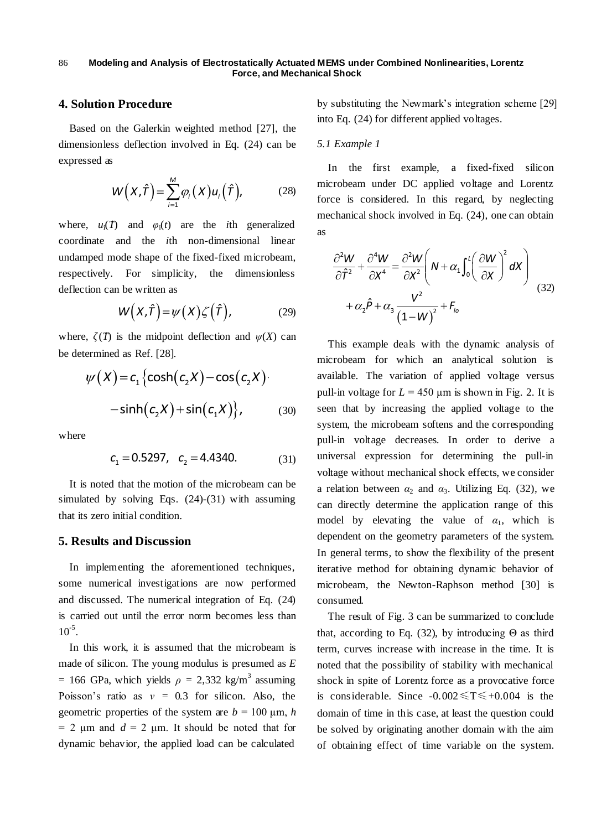# **4. Solution Procedure**

Based on the Galerkin weighted method [27], the dimensionless deflection involved in Eq. (24) can be expressed as

$$
W(X,\hat{T}) = \sum_{i=1}^{M} \varphi_i(X) u_i(\hat{T}), \qquad (28)
$$

where,  $u_i(T)$  and  $\varphi_i(t)$  are the *i*th generalized coordinate and the *i*th non-dimensional linear undamped mode shape of the fixed-fixed microbeam, respectively. For simplicity, the dimensionless deflection can be written as

$$
W(X,\hat{T}) = \psi(X)\zeta(\hat{T}), \qquad (29)
$$

where,  $\zeta(T)$  is the midpoint deflection and  $\psi(X)$  can be determined as Ref. [28].

$$
\psi(X) = c_1 \left\{ \cosh(c_2 X) - \cos(c_2 X) \right\}
$$
   
 
$$
- \sinh(c_2 X) + \sin(c_1 X) \right\},
$$
   
 
$$
\text{with } c_1 \text{ and } c_2 \text{ with } c_1 \text{ with } c_2 \text{ with } c_1 \text{ with } c_2 \text{ with } c_2 \text{ with } c_2 \text{ with } c_2 \text{ with } c_2 \text{ with } c_2 \text{ with } c_2 \text{ with } c_2 \text{ with } c_2 \text{ with } c_2 \text{ with } c_2 \text{ with } c_2 \text{ with } c_2 \text{ with } c_2 \text{ with } c_2 \text{ with } c_2 \text{ with } c_2 \text{ with } c_2 \text{ with } c_2 \text{ with } c_2 \text{ with } c_2 \text{ with } c_2 \text{ with } c_2 \text{ with } c_2 \text{ with } c_2 \text{ with } c_2 \text{ with } c_2 \text{ with } c_2 \text{ with } c_2 \text{ with } c_2 \text{ with } c_2 \text{ with } c_2 \text{ with } c_2 \text{ with } c_2 \text{ with } c_2 \text{ with } c_2 \text{ with } c_2 \text{ with } c_2 \text{ with } c_2 \text{ with } c_2 \text{ with } c_2 \text{ with } c_2 \text{ with } c_2 \text{ with } c_2 \text{ with } c_2 \text{ with } c_2 \text{ with } c_2 \text{ with } c_2 \text{ with } c_2 \text{ with } c_2 \text{ with } c_2 \text{ with } c_2 \text{ with } c_2 \text{ with } c_2 \text{ with } c_2 \text{ with } c_2 \text{ with } c_2 \text{ with } c_2 \text{ with } c_2 \text{ with } c_2 \text{ with } c_2 \text{ with } c_2 \text{ with } c_2 \text{ with } c_2 \text{ with } c_2 \text{ with } c_2 \text{ with } c_2 \text{ with } c_2 \text{ with } c_2 \text{ with } c_2 \text{ with } c_2 \text{ with } c_2 \text{ with } c_2 \text{ with } c_2 \text{ with } c_2 \text{ with } c_2 \text{ with } c_2 \text{ with } c_2 \text{ with } c_2 \text{ with } c_2 \text{ with }
$$

where

$$
c_1 = 0.5297, \quad c_2 = 4.4340. \tag{31}
$$

It is noted that the motion of the microbeam can be simulated by solving Eqs. (24)-(31) with assuming that its zero initial condition.

# **5. Results and Discussion**

In implementing the aforementioned techniques, some numerical investigations are now performed and discussed. The numerical integration of Eq. (24) is carried out until the error norm becomes less than  $10^{-5}$ .

In this work, it is assumed that the microbeam is made of silicon. The young modulus is presumed as *E*   $= 166$  GPa, which yields  $\rho = 2,332$  kg/m<sup>3</sup> assuming Poisson's ratio as *ν* = 0.3 for silicon. Also, the geometric properties of the system are  $b = 100 \mu m$ , *h*  $= 2 \mu m$  and  $d = 2 \mu m$ . It should be noted that for dynamic behavior, the applied load can be calculated

by substituting the Newmark's integration scheme [29] into Eq. (24) for different applied voltages.

#### *5.1 Example 1*

In the first example, a fixed-fixed silicon microbeam under DC applied voltage and Lorentz force is considered. In this regard, by neglecting mechanical shock involved in Eq. (24), one can obtain as

$$
\frac{\partial^2 W}{\partial \hat{T}^2} + \frac{\partial^4 W}{\partial X^4} = \frac{\partial^2 W}{\partial X^2} \left( N + \alpha_1 \int_0^1 \left( \frac{\partial W}{\partial X} \right)^2 dX \right)
$$
  
+  $\alpha_2 \hat{P} + \alpha_3 \frac{V^2}{(1 - W)^2} + F_{10}$  (32)

This example deals with the dynamic analysis of microbeam for which an analytical solution is available. The variation of applied voltage versus pull-in voltage for  $L = 450 \mu m$  is shown in Fig. 2. It is seen that by increasing the applied voltage to the system, the microbeam softens and the corresponding pull-in voltage decreases. In order to derive a universal expression for determining the pull-in voltage without mechanical shock effects, we consider a relation between  $\alpha_2$  and  $\alpha_3$ . Utilizing Eq. (32), we can directly determine the application range of this model by elevating the value of  $\alpha_1$ , which is dependent on the geometry parameters of the system. In general terms, to show the flexibility of the present iterative method for obtaining dynamic behavior of microbeam, the Newton-Raphson method [30] is consumed.

The result of Fig. 3 can be summarized to conclude that, according to Eq. (32), by introducing  $\Theta$  as third term, curves increase with increase in the time. It is noted that the possibility of stability with mechanical shock in spite of Lorentz force as a provocative force is considerable. Since  $-0.002 \leq T \leq +0.004$  is the domain of time in this case, at least the question could be solved by originating another domain with the aim of obtaining effect of time variable on the system.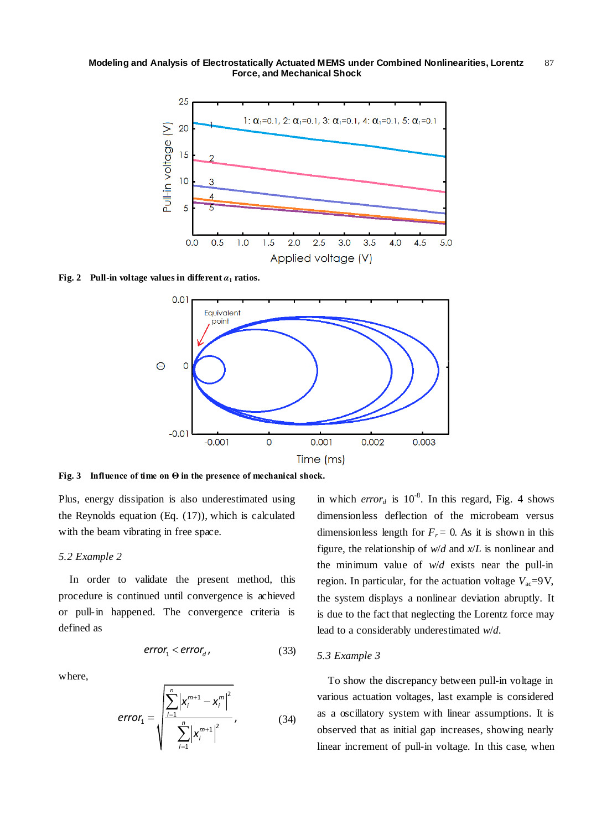

**Fig. 2 Pull-in voltage values in different**  $\alpha_1$  **ratios.** 



**Fig. 3 Influence of time on Θ in the presence of mechanical shock.**

Plus, energy dissipation is also underestimated using the Reynolds equation (Eq. (17)), which is calculated with the beam vibrating in free space.

## *5.2 Example 2*

In order to validate the present method, this procedure is continued until convergence is achieved or pull-in happened. The convergence criteria is defined as

$$
error_1 < error_d \tag{33}
$$

where,

$$
error_{1} = \sqrt{\frac{\sum_{i=1}^{n} \left| x_{i}^{m+1} - x_{i}^{m} \right|^{2}}{\sum_{i=1}^{n} \left| x_{i}^{m+1} \right|^{2}}}, \quad (34)
$$

in which *error<sub>d</sub>* is  $10^{-8}$ . In this regard, Fig. 4 shows dimensionless deflection of the microbeam versus dimensionless length for  $F_r = 0$ . As it is shown in this figure, the relationship of *w*/*d* and *x*/*L* is nonlinear and the minimum value of *w*/*d* exists near the pull-in region. In particular, for the actuation voltage  $V_{ac} = 9V$ , the system displays a nonlinear deviation abruptly. It is due to the fact that neglecting the Lorentz force may lead to a considerably underestimated *w*/*d*.

# *5.3 Example 3*

To show the discrepancy between pull-in voltage in various actuation voltages, last example is considered as a oscillatory system with linear assumptions. It is observed that as initial gap increases, showing nearly linear increment of pull-in voltage. In this case, when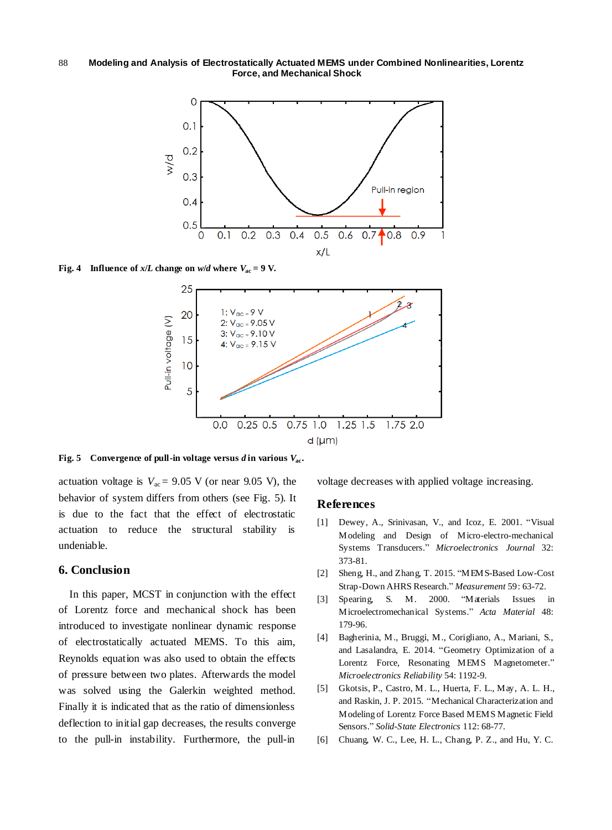**Modeling and Analysis of Electrostatically Actuated MEMS under Combined Nonlinearities, Lorentz Force, and Mechanical Shock** 88



**Fig.** 4 **Influence of** *x*/*L* **change on** *w*/*d* **where**  $V_{ac} = 9$  **V.** 



**Fig. 5** Convergence of pull-in voltage versus  $d$  in various  $V_{ac}$ .

actuation voltage is  $V_{ac} = 9.05$  V (or near 9.05 V), the behavior of system differs from others (see Fig. 5). It is due to the fact that the effect of electrostatic actuation to reduce the structural stability is undeniable.

# **6. Conclusion**

In this paper, MCST in conjunction with the effect of Lorentz force and mechanical shock has been introduced to investigate nonlinear dynamic response of electrostatically actuated MEMS. To this aim, Reynolds equation was also used to obtain the effects of pressure between two plates. Afterwards the model was solved using the Galerkin weighted method. Finally it is indicated that as the ratio of dimensionless deflection to initial gap decreases, the results converge to the pull-in instability. Furthermore, the pull-in

voltage decreases with applied voltage increasing.

# **References**

- [1] Dewey, A., Srinivasan, V., and Icoz, E. 2001. "Visual Modeling and Design of Micro-electro-mechanical Systems Transducers." *Microelectronics Journal* 32: 373-81.
- [2] Sheng, H., and Zhang, T. 2015. "MEMS-Based Low-Cost Strap-Down AHRS Research." *Measurement* 59: 63-72.
- [3] Spearing, S. M. 2000. "Materials Issues in Microelectromechanical Systems." *Acta Material* 48: 179-96.
- [4] Bagherinia, M., Bruggi, M., Corigliano, A., Mariani, S., and Lasalandra, E. 2014. "Geometry Optimization of a Lorentz Force, Resonating MEMS Magnetometer." *Microelectronics Reliability* 54: 1192-9.
- [5] Gkotsis, P., Castro, M. L., Huerta, F. L., May, A. L. H., and Raskin, J. P. 2015. "Mechanical Characterization and Modeling of Lorentz Force Based MEMS Magnetic Field Sensors." *Solid-State Electronics* 112: 68-77.
- [6] Chuang, W. C., Lee, H. L., Chang, P. Z., and Hu, Y. C.